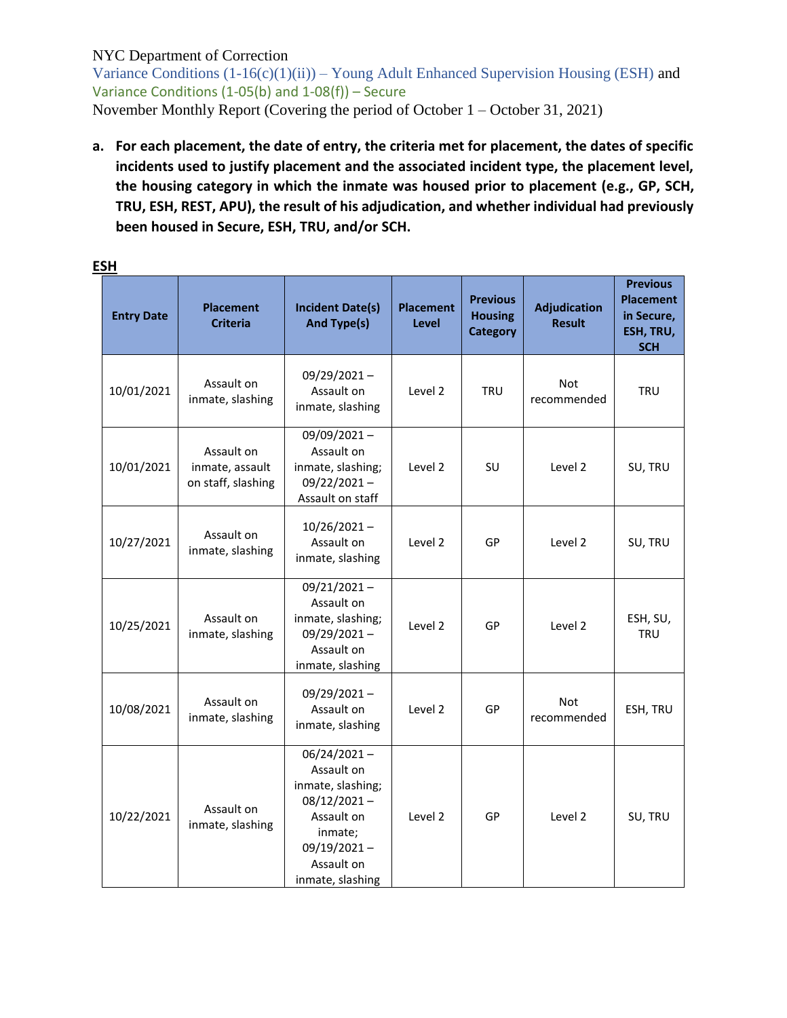Variance Conditions  $(1-16(c)(1)(ii))$  – Young Adult Enhanced Supervision Housing (ESH) and Variance Conditions (1-05(b) and 1-08(f)) – Secure November Monthly Report (Covering the period of October 1 – October 31, 2021)

**a. For each placement, the date of entry, the criteria met for placement, the dates of specific incidents used to justify placement and the associated incident type, the placement level, the housing category in which the inmate was housed prior to placement (e.g., GP, SCH, TRU, ESH, REST, APU), the result of his adjudication, and whether individual had previously been housed in Secure, ESH, TRU, and/or SCH.**

| <b>Entry Date</b> | <b>Placement</b><br><b>Criteria</b>                 | <b>Incident Date(s)</b><br>And Type(s)                                                                                                           | <b>Placement</b><br><b>Level</b> | <b>Previous</b><br><b>Housing</b><br><b>Category</b> | <b>Adjudication</b><br><b>Result</b> | <b>Previous</b><br><b>Placement</b><br>in Secure,<br>ESH, TRU,<br><b>SCH</b> |
|-------------------|-----------------------------------------------------|--------------------------------------------------------------------------------------------------------------------------------------------------|----------------------------------|------------------------------------------------------|--------------------------------------|------------------------------------------------------------------------------|
| 10/01/2021        | Assault on<br>inmate, slashing                      | 09/29/2021-<br>Assault on<br>inmate, slashing                                                                                                    | Level 2                          | <b>TRU</b>                                           | Not<br>recommended                   | <b>TRU</b>                                                                   |
| 10/01/2021        | Assault on<br>inmate, assault<br>on staff, slashing | 09/09/2021-<br>Assault on<br>inmate, slashing;<br>$09/22/2021 -$<br>Assault on staff                                                             | Level 2                          | SU                                                   | Level 2                              | SU, TRU                                                                      |
| 10/27/2021        | Assault on<br>inmate, slashing                      | $10/26/2021 -$<br>Assault on<br>inmate, slashing                                                                                                 | Level 2                          | GP                                                   | Level 2                              | SU, TRU                                                                      |
| 10/25/2021        | Assault on<br>inmate, slashing                      | $09/21/2021 -$<br>Assault on<br>inmate, slashing;<br>09/29/2021-<br>Assault on<br>inmate, slashing                                               | Level 2                          | GP                                                   | Level 2                              | ESH, SU,<br><b>TRU</b>                                                       |
| 10/08/2021        | Assault on<br>inmate, slashing                      | $09/29/2021 -$<br>Assault on<br>inmate, slashing                                                                                                 | Level 2                          | GP                                                   | Not<br>recommended                   | ESH, TRU                                                                     |
| 10/22/2021        | Assault on<br>inmate, slashing                      | $06/24/2021 -$<br>Assault on<br>inmate, slashing;<br>$08/12/2021 -$<br>Assault on<br>inmate;<br>$09/19/2021 -$<br>Assault on<br>inmate, slashing | Level 2                          | GP                                                   | Level 2                              | SU, TRU                                                                      |

#### **ESH**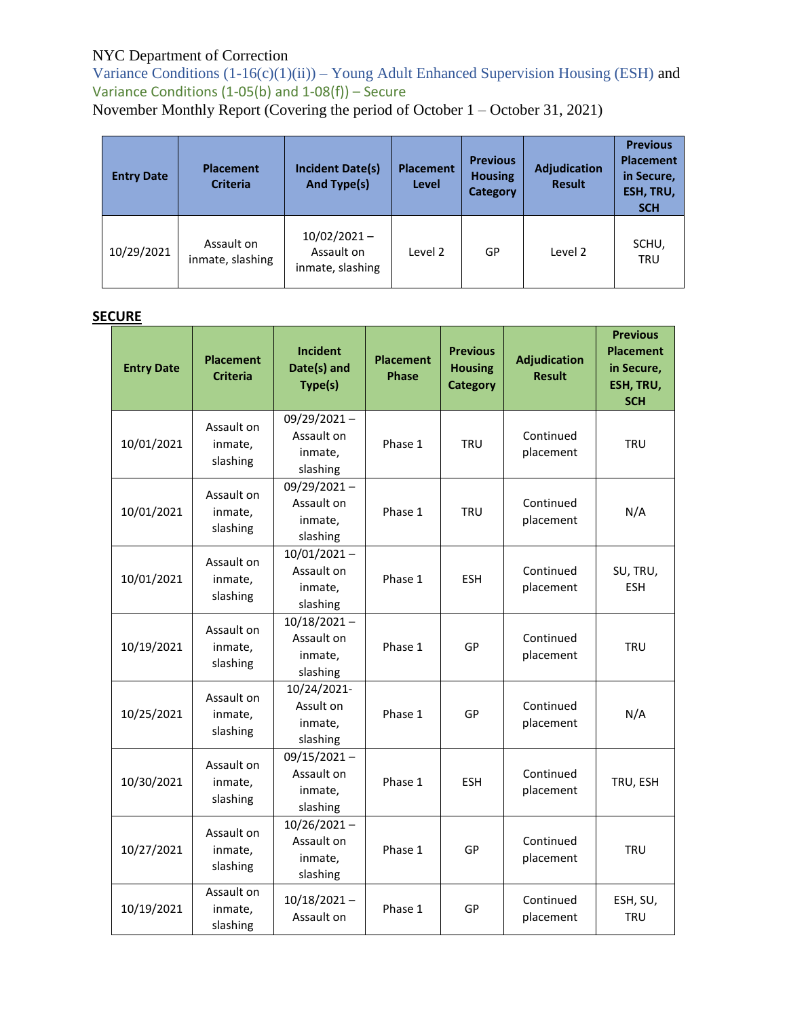Variance Conditions  $(1-16(c)(1)(ii))$  – Young Adult Enhanced Supervision Housing (ESH) and Variance Conditions  $(1-05(b)$  and  $1-08(f))$  – Secure

November Monthly Report (Covering the period of October 1 – October 31, 2021)

| <b>Entry Date</b> | <b>Placement</b><br><b>Criteria</b> | <b>Incident Date(s)</b><br>And Type(s)           | <b>Placement</b><br>Level | <b>Previous</b><br><b>Housing</b><br><b>Category</b> | Adjudication<br><b>Result</b> | <b>Previous</b><br><b>Placement</b><br>in Secure,<br>ESH, TRU,<br><b>SCH</b> |
|-------------------|-------------------------------------|--------------------------------------------------|---------------------------|------------------------------------------------------|-------------------------------|------------------------------------------------------------------------------|
| 10/29/2021        | Assault on<br>inmate, slashing      | $10/02/2021 -$<br>Assault on<br>inmate, slashing | Level 2                   | GP                                                   | Level 2                       | SCHU,<br><b>TRU</b>                                                          |

## **SECURE**

| <b>Entry Date</b> | <b>Placement</b><br><b>Criteria</b> | Incident<br>Date(s) and<br>Type(s)                  | <b>Placement</b><br><b>Phase</b> | <b>Previous</b><br><b>Housing</b><br><b>Category</b> | <b>Adjudication</b><br><b>Result</b> | <b>Previous</b><br><b>Placement</b><br>in Secure,<br>ESH, TRU,<br><b>SCH</b> |
|-------------------|-------------------------------------|-----------------------------------------------------|----------------------------------|------------------------------------------------------|--------------------------------------|------------------------------------------------------------------------------|
| 10/01/2021        | Assault on<br>inmate,<br>slashing   | $09/29/2021 -$<br>Assault on<br>inmate,<br>slashing | Phase 1                          | <b>TRU</b>                                           | Continued<br>placement               | <b>TRU</b>                                                                   |
| 10/01/2021        | Assault on<br>inmate,<br>slashing   | 09/29/2021-<br>Assault on<br>inmate,<br>slashing    | Phase 1                          | <b>TRU</b>                                           | Continued<br>placement               | N/A                                                                          |
| 10/01/2021        | Assault on<br>inmate,<br>slashing   | $10/01/2021 -$<br>Assault on<br>inmate,<br>slashing | Phase 1                          | <b>ESH</b>                                           | Continued<br>placement               | SU, TRU,<br><b>ESH</b>                                                       |
| 10/19/2021        | Assault on<br>inmate,<br>slashing   | $10/18/2021 -$<br>Assault on<br>inmate,<br>slashing | Phase 1                          | GP                                                   | Continued<br>placement               | <b>TRU</b>                                                                   |
| 10/25/2021        | Assault on<br>inmate,<br>slashing   | 10/24/2021-<br>Assult on<br>inmate,<br>slashing     | Phase 1                          | GP                                                   | Continued<br>placement               | N/A                                                                          |
| 10/30/2021        | Assault on<br>inmate,<br>slashing   | $09/15/2021 -$<br>Assault on<br>inmate,<br>slashing | Phase 1                          | <b>ESH</b>                                           | Continued<br>placement               | TRU, ESH                                                                     |
| 10/27/2021        | Assault on<br>inmate,<br>slashing   | $10/26/2021 -$<br>Assault on<br>inmate,<br>slashing | Phase 1                          | GP                                                   | Continued<br>placement               | <b>TRU</b>                                                                   |
| 10/19/2021        | Assault on<br>inmate,<br>slashing   | $10/18/2021 -$<br>Assault on                        | Phase 1                          | GP                                                   | Continued<br>placement               | ESH, SU,<br><b>TRU</b>                                                       |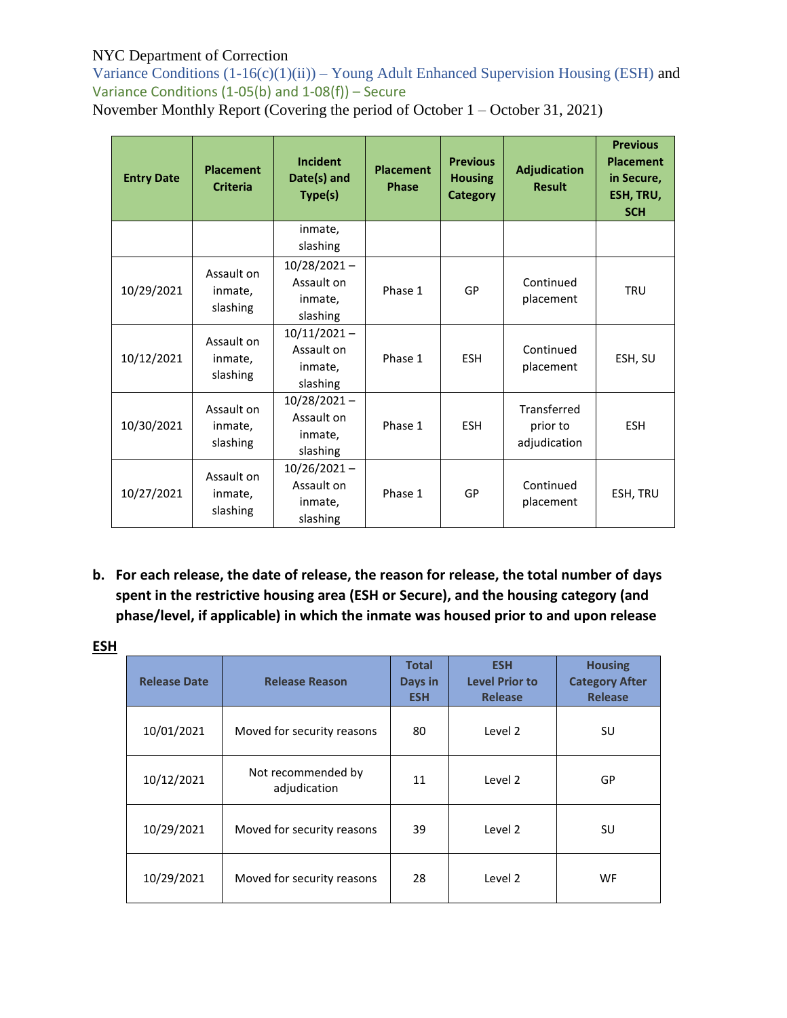Variance Conditions  $(1-16(c)(1)(ii))$  – Young Adult Enhanced Supervision Housing (ESH) and Variance Conditions (1-05(b) and 1-08(f)) – Secure

November Monthly Report (Covering the period of October 1 – October 31, 2021)

| <b>Entry Date</b> | <b>Placement</b><br><b>Criteria</b> | Incident<br>Date(s) and<br>Type(s)                  | <b>Placement</b><br><b>Phase</b> | <b>Previous</b><br><b>Housing</b><br><b>Category</b> | <b>Adjudication</b><br><b>Result</b>    | <b>Previous</b><br><b>Placement</b><br>in Secure,<br>ESH, TRU,<br><b>SCH</b> |
|-------------------|-------------------------------------|-----------------------------------------------------|----------------------------------|------------------------------------------------------|-----------------------------------------|------------------------------------------------------------------------------|
|                   |                                     | inmate,<br>slashing                                 |                                  |                                                      |                                         |                                                                              |
| 10/29/2021        | Assault on<br>inmate,<br>slashing   | $10/28/2021 -$<br>Assault on<br>inmate,<br>slashing | Phase 1                          | GP                                                   | Continued<br>placement                  | <b>TRU</b>                                                                   |
| 10/12/2021        | Assault on<br>inmate,<br>slashing   | $10/11/2021 -$<br>Assault on<br>inmate,<br>slashing | Phase 1                          | <b>ESH</b>                                           | Continued<br>placement                  | ESH, SU                                                                      |
| 10/30/2021        | Assault on<br>inmate,<br>slashing   | $10/28/2021 -$<br>Assault on<br>inmate,<br>slashing | Phase 1                          | <b>ESH</b>                                           | Transferred<br>prior to<br>adjudication | <b>ESH</b>                                                                   |
| 10/27/2021        | Assault on<br>inmate,<br>slashing   | $10/26/2021 -$<br>Assault on<br>inmate,<br>slashing | Phase 1                          | GP                                                   | Continued<br>placement                  | ESH, TRU                                                                     |

**b. For each release, the date of release, the reason for release, the total number of days spent in the restrictive housing area (ESH or Secure), and the housing category (and phase/level, if applicable) in which the inmate was housed prior to and upon release**

| <b>ESH</b> |                     |                                    |                                       |                                                       |                                                           |
|------------|---------------------|------------------------------------|---------------------------------------|-------------------------------------------------------|-----------------------------------------------------------|
|            | <b>Release Date</b> | <b>Release Reason</b>              | <b>Total</b><br>Days in<br><b>ESH</b> | <b>ESH</b><br><b>Level Prior to</b><br><b>Release</b> | <b>Housing</b><br><b>Category After</b><br><b>Release</b> |
|            | 10/01/2021          | Moved for security reasons         | 80                                    | Level 2                                               | SU                                                        |
|            | 10/12/2021          | Not recommended by<br>adjudication | 11                                    | Level 2                                               | GP                                                        |
|            | 10/29/2021          | Moved for security reasons         | 39                                    | Level 2                                               | SU                                                        |
|            | 10/29/2021          | Moved for security reasons         | 28                                    | Level 2                                               | WF.                                                       |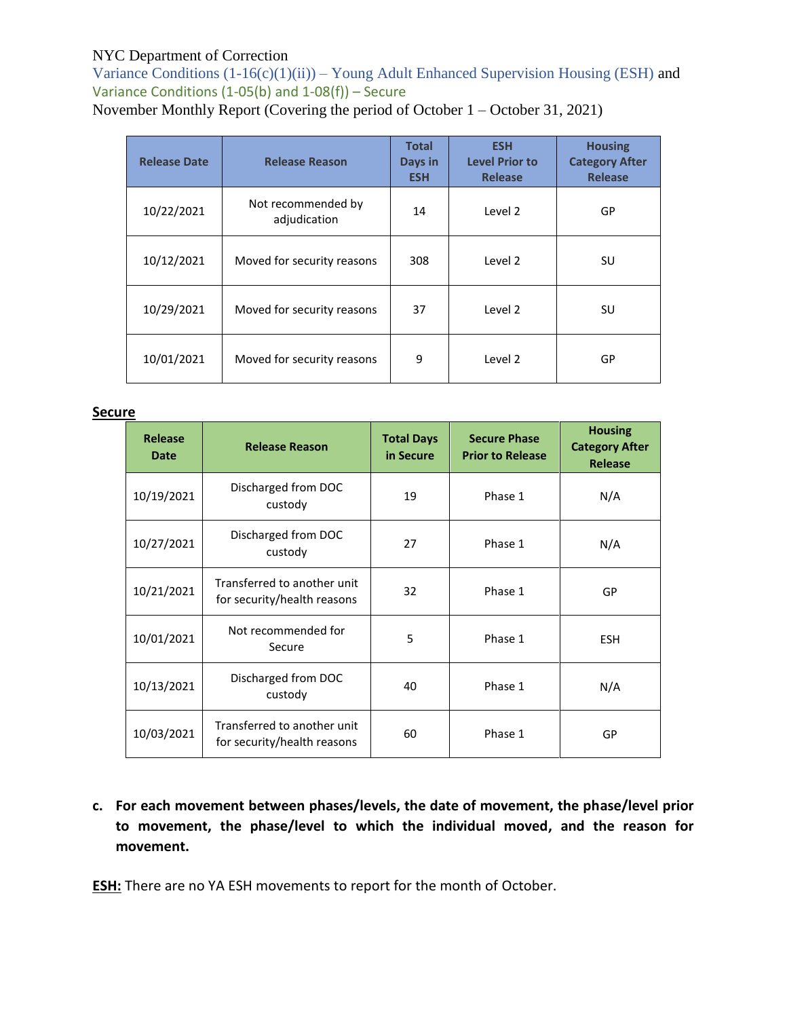Variance Conditions  $(1-16(c)(1)(ii))$  – Young Adult Enhanced Supervision Housing (ESH) and Variance Conditions (1-05(b) and 1-08(f)) – Secure

November Monthly Report (Covering the period of October 1 – October 31, 2021)

| <b>Release Date</b> | <b>Release Reason</b>              | <b>Total</b><br>Days in<br><b>ESH</b> | <b>ESH</b><br><b>Level Prior to</b><br><b>Release</b> | <b>Housing</b><br><b>Category After</b><br><b>Release</b> |
|---------------------|------------------------------------|---------------------------------------|-------------------------------------------------------|-----------------------------------------------------------|
| 10/22/2021          | Not recommended by<br>adjudication | 14                                    | Level 2                                               | GP                                                        |
| 10/12/2021          | Moved for security reasons         | 308                                   | Level 2                                               | SU                                                        |
| 10/29/2021          | Moved for security reasons         | 37                                    | Level 2                                               | SU                                                        |
| 10/01/2021          | Moved for security reasons         | 9                                     | Level 2                                               | GP                                                        |

#### **Secure**

| <b>Release</b><br><b>Date</b> | <b>Release Reason</b>                                      | <b>Total Days</b><br>in Secure | <b>Secure Phase</b><br><b>Prior to Release</b> | <b>Housing</b><br><b>Category After</b><br><b>Release</b> |
|-------------------------------|------------------------------------------------------------|--------------------------------|------------------------------------------------|-----------------------------------------------------------|
| 10/19/2021                    | Discharged from DOC<br>custody                             | 19                             | Phase 1                                        | N/A                                                       |
| 10/27/2021                    | Discharged from DOC<br>custody                             | 27                             | Phase 1                                        | N/A                                                       |
| 10/21/2021                    | Transferred to another unit<br>for security/health reasons | 32                             | Phase 1                                        | GP                                                        |
| 10/01/2021                    | Not recommended for<br>Secure                              | 5                              | Phase 1                                        | <b>ESH</b>                                                |
| 10/13/2021                    | Discharged from DOC<br>custody                             | 40                             | Phase 1                                        | N/A                                                       |
| 10/03/2021                    | Transferred to another unit<br>for security/health reasons | 60                             | Phase 1                                        | GP                                                        |

**c. For each movement between phases/levels, the date of movement, the phase/level prior to movement, the phase/level to which the individual moved, and the reason for movement.**

**ESH:** There are no YA ESH movements to report for the month of October.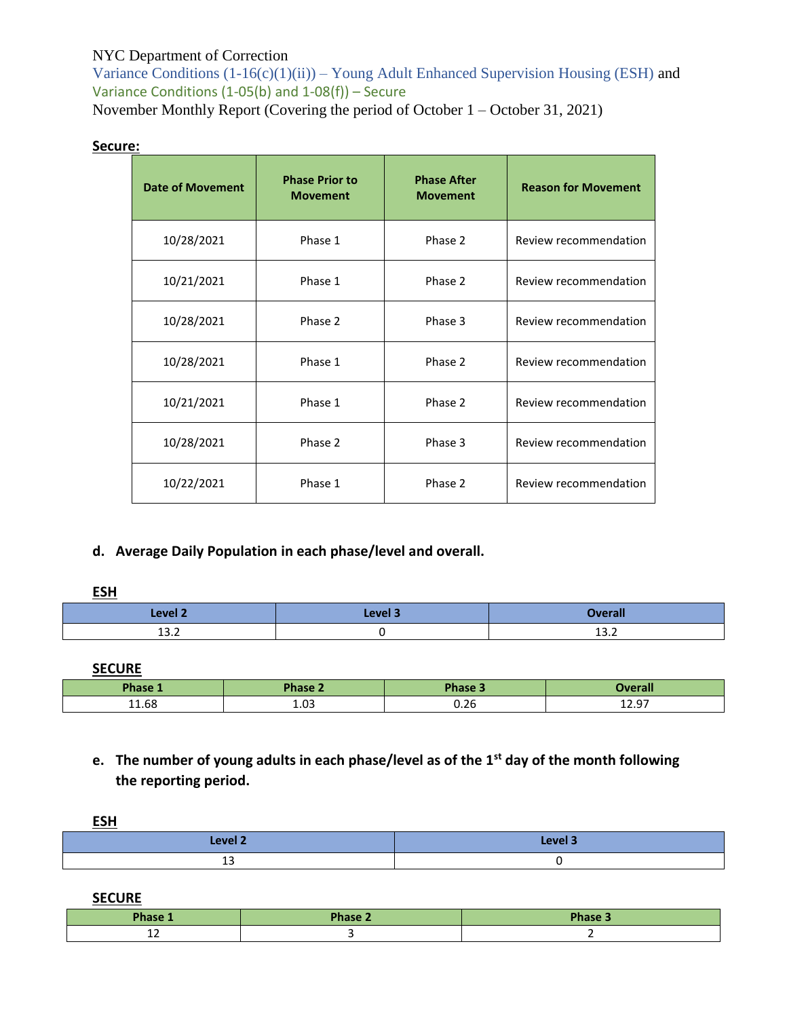Variance Conditions  $(1-16(c)(1)(ii))$  – Young Adult Enhanced Supervision Housing (ESH) and Variance Conditions  $(1-05(b)$  and  $1-08(f))$  – Secure

November Monthly Report (Covering the period of October 1 – October 31, 2021)

#### **Secure:**

| <b>Date of Movement</b> | <b>Phase Prior to</b><br><b>Movement</b> | <b>Phase After</b><br><b>Movement</b> | <b>Reason for Movement</b> |
|-------------------------|------------------------------------------|---------------------------------------|----------------------------|
| 10/28/2021              | Phase 1                                  | Phase 2                               | Review recommendation      |
| 10/21/2021              | Phase 1                                  | Phase 2                               | Review recommendation      |
| 10/28/2021              | Phase 2                                  | Phase 3                               | Review recommendation      |
| 10/28/2021              | Phase 1                                  | Phase 2                               | Review recommendation      |
| 10/21/2021              | Phase 1                                  | Phase 2                               | Review recommendation      |
| 10/28/2021              | Phase 2                                  | Phase 3                               | Review recommendation      |
| 10/22/2021              | Phase 1                                  | Phase 2                               | Review recommendation      |

**d. Average Daily Population in each phase/level and overall.**

**ESH** 

| Level 2            | Level 3 | <b>Weran</b>   |
|--------------------|---------|----------------|
| <u>ຳ າ</u><br>15.Z |         | $\sim$<br>ے. ب |

**SECURE**

| Phase 1 | Phase 2 | Phase 5        | <b>Overall</b>                  |
|---------|---------|----------------|---------------------------------|
| 11.68   | 1.03    | $\sim$<br>J.ZG | $\sim$<br>$\sim$<br>ᆂᆇᇾ<br>____ |

**e. The number of young adults in each phase/level as of the 1st day of the month following the reporting period.**

**ESH** 

| __        |         |
|-----------|---------|
| 7 اوبره ا | Level 3 |
| --        |         |

**SECURE**

| Phase 1 | Phase 2 | <b>Phase 3</b> |
|---------|---------|----------------|
| --      |         |                |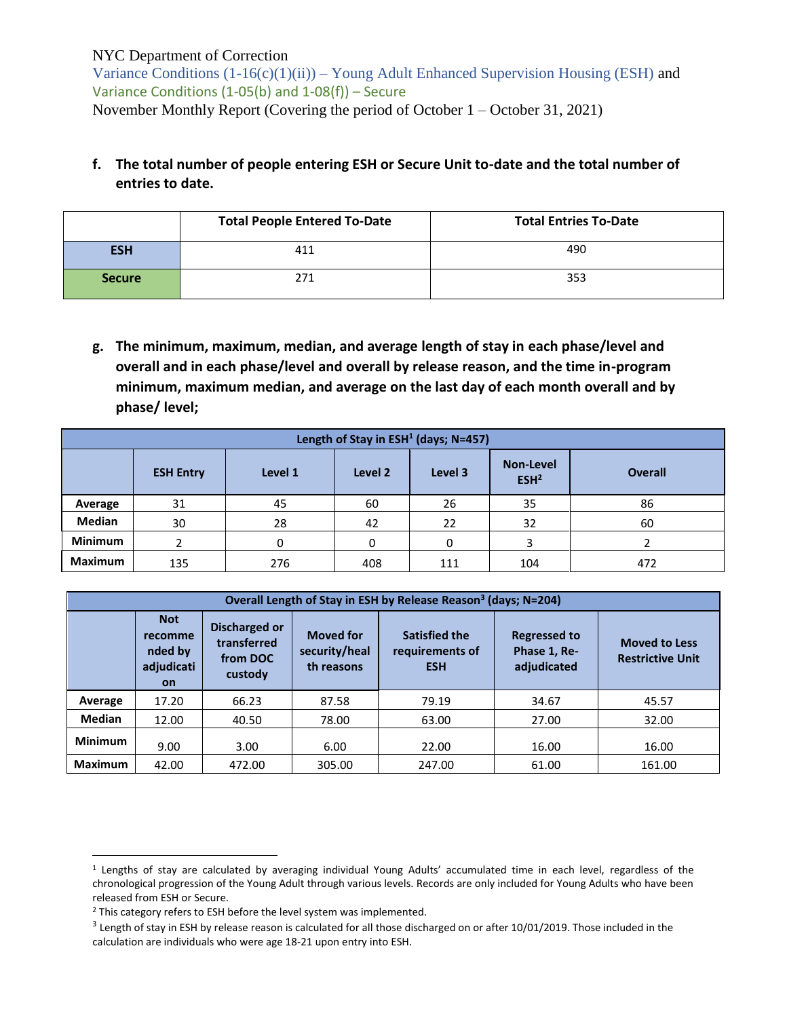Variance Conditions  $(1-16(c)(1)(ii))$  – Young Adult Enhanced Supervision Housing (ESH) and Variance Conditions (1-05(b) and 1-08(f)) – Secure November Monthly Report (Covering the period of October 1 – October 31, 2021)

## **f. The total number of people entering ESH or Secure Unit to-date and the total number of entries to date.**

|               | <b>Total People Entered To-Date</b> | <b>Total Entries To-Date</b> |
|---------------|-------------------------------------|------------------------------|
| <b>ESH</b>    | 411                                 | 490                          |
| <b>Secure</b> | 271                                 | 353                          |

**g. The minimum, maximum, median, and average length of stay in each phase/level and overall and in each phase/level and overall by release reason, and the time in-program minimum, maximum median, and average on the last day of each month overall and by phase/ level;**

|                | Length of Stay in ESH <sup>1</sup> (days; N=457) |          |         |         |                                      |                |  |  |  |  |
|----------------|--------------------------------------------------|----------|---------|---------|--------------------------------------|----------------|--|--|--|--|
|                | <b>ESH Entry</b>                                 | Level 1  | Level 2 | Level 3 | <b>Non-Level</b><br>ESH <sup>2</sup> | <b>Overall</b> |  |  |  |  |
| Average        | 31                                               | 45       | 60      | 26      | 35                                   | 86             |  |  |  |  |
| <b>Median</b>  | 30                                               | 28       | 42      | 22      | 32                                   | 60             |  |  |  |  |
| <b>Minimum</b> |                                                  | $\Omega$ |         |         |                                      |                |  |  |  |  |
| <b>Maximum</b> | 135                                              | 276      | 408     | 111     | 104                                  | 472            |  |  |  |  |

|                | Overall Length of Stay in ESH by Release Reason <sup>3</sup> (days; N=204) |                                                            |                                                 |                                                       |                                                    |                                                 |  |  |
|----------------|----------------------------------------------------------------------------|------------------------------------------------------------|-------------------------------------------------|-------------------------------------------------------|----------------------------------------------------|-------------------------------------------------|--|--|
|                | <b>Not</b><br>recomme<br>nded by<br>adjudicati<br><b>on</b>                | <b>Discharged or</b><br>transferred<br>from DOC<br>custody | <b>Moved for</b><br>security/heal<br>th reasons | <b>Satisfied the</b><br>requirements of<br><b>ESH</b> | <b>Regressed to</b><br>Phase 1, Re-<br>adjudicated | <b>Moved to Less</b><br><b>Restrictive Unit</b> |  |  |
| Average        | 17.20                                                                      | 66.23                                                      | 87.58                                           | 79.19                                                 | 34.67                                              | 45.57                                           |  |  |
| <b>Median</b>  | 12.00                                                                      | 40.50                                                      | 78.00                                           | 63.00                                                 | 27.00                                              | 32.00                                           |  |  |
| <b>Minimum</b> | 9.00                                                                       | 3.00                                                       | 6.00                                            | 22.00                                                 | 16.00                                              | 16.00                                           |  |  |
| <b>Maximum</b> | 42.00                                                                      | 472.00                                                     | 305.00                                          | 247.00                                                | 61.00                                              | 161.00                                          |  |  |

 $\overline{a}$ 

<sup>1</sup> Lengths of stay are calculated by averaging individual Young Adults' accumulated time in each level, regardless of the chronological progression of the Young Adult through various levels. Records are only included for Young Adults who have been released from ESH or Secure.

<sup>&</sup>lt;sup>2</sup> This category refers to ESH before the level system was implemented.

 $3$  Length of stay in ESH by release reason is calculated for all those discharged on or after 10/01/2019. Those included in the calculation are individuals who were age 18-21 upon entry into ESH.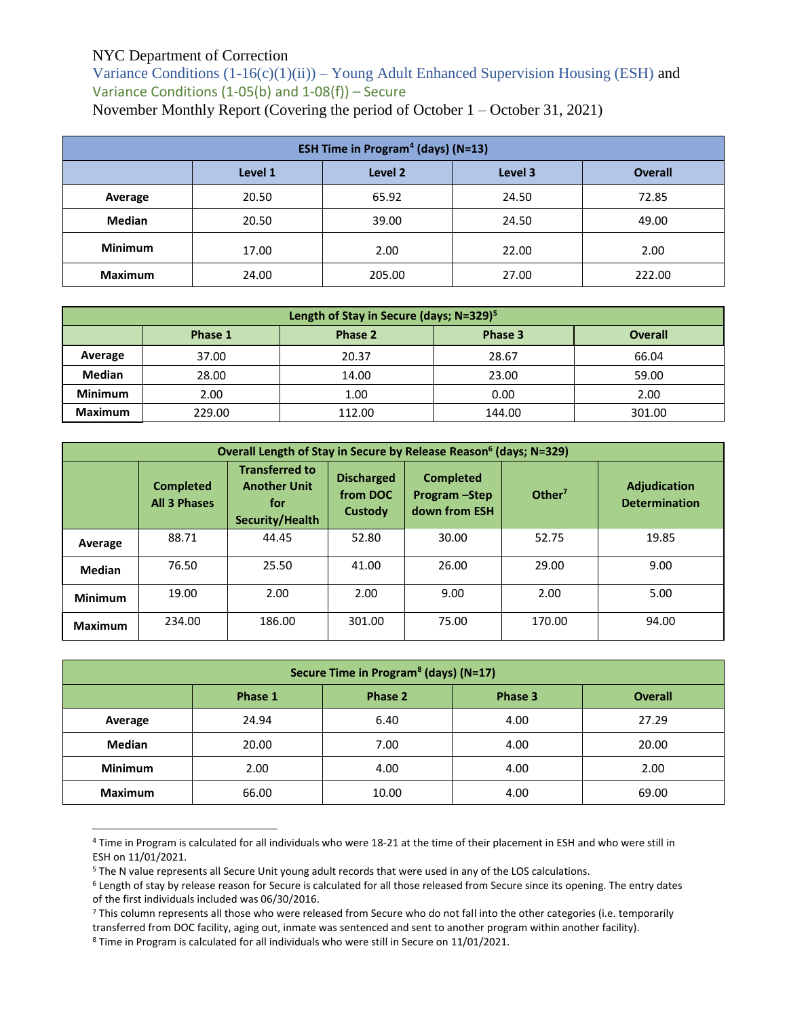Variance Conditions  $(1-16(c)(1)(ii))$  – Young Adult Enhanced Supervision Housing (ESH) and Variance Conditions (1-05(b) and 1-08(f)) – Secure November Monthly Report (Covering the period of October 1 – October 31, 2021)

| <b>ESH Time in Program<sup>4</sup> (days) (N=13)</b> |                                                 |        |       |        |  |  |  |  |
|------------------------------------------------------|-------------------------------------------------|--------|-------|--------|--|--|--|--|
|                                                      | Level 2<br>Level 1<br>Level 3<br><b>Overall</b> |        |       |        |  |  |  |  |
| Average                                              | 20.50                                           | 65.92  | 24.50 | 72.85  |  |  |  |  |
| <b>Median</b>                                        | 20.50                                           | 39.00  | 24.50 | 49.00  |  |  |  |  |
| <b>Minimum</b>                                       | 17.00                                           | 2.00   | 22.00 | 2.00   |  |  |  |  |
| <b>Maximum</b>                                       | 24.00                                           | 205.00 | 27.00 | 222.00 |  |  |  |  |

| Length of Stay in Secure (days; N=329) <sup>5</sup> |                                                 |        |        |        |  |  |  |  |
|-----------------------------------------------------|-------------------------------------------------|--------|--------|--------|--|--|--|--|
|                                                     | Phase 3<br><b>Overall</b><br>Phase 2<br>Phase 1 |        |        |        |  |  |  |  |
| Average                                             | 37.00                                           | 20.37  | 28.67  | 66.04  |  |  |  |  |
| <b>Median</b>                                       | 28.00                                           | 14.00  | 23.00  | 59.00  |  |  |  |  |
| <b>Minimum</b>                                      | 2.00                                            | 1.00   | 0.00   | 2.00   |  |  |  |  |
| <b>Maximum</b>                                      | 229.00                                          | 112.00 | 144.00 | 301.00 |  |  |  |  |

|                | Overall Length of Stay in Secure by Release Reason <sup>6</sup> (days; N=329) |                                                                        |                                          |                                                     |                    |                                             |  |  |  |
|----------------|-------------------------------------------------------------------------------|------------------------------------------------------------------------|------------------------------------------|-----------------------------------------------------|--------------------|---------------------------------------------|--|--|--|
|                | <b>Completed</b><br><b>All 3 Phases</b>                                       | <b>Transferred to</b><br><b>Another Unit</b><br>for<br>Security/Health | <b>Discharged</b><br>from DOC<br>Custody | <b>Completed</b><br>Program - Step<br>down from ESH | Other <sup>7</sup> | <b>Adjudication</b><br><b>Determination</b> |  |  |  |
| Average        | 88.71                                                                         | 44.45                                                                  | 52.80                                    | 30.00                                               | 52.75              | 19.85                                       |  |  |  |
| <b>Median</b>  | 76.50                                                                         | 25.50                                                                  | 41.00                                    | 26.00                                               | 29.00              | 9.00                                        |  |  |  |
| <b>Minimum</b> | 19.00                                                                         | 2.00                                                                   | 2.00                                     | 9.00                                                | 2.00               | 5.00                                        |  |  |  |
| <b>Maximum</b> | 234.00                                                                        | 186.00                                                                 | 301.00                                   | 75.00                                               | 170.00             | 94.00                                       |  |  |  |

| Secure Time in Program <sup>8</sup> (days) (N=17) |                                                 |       |      |       |  |  |  |  |
|---------------------------------------------------|-------------------------------------------------|-------|------|-------|--|--|--|--|
|                                                   | Phase 1<br>Phase 2<br><b>Overall</b><br>Phase 3 |       |      |       |  |  |  |  |
| Average                                           | 24.94                                           | 6.40  | 4.00 | 27.29 |  |  |  |  |
| <b>Median</b>                                     | 20.00                                           | 7.00  | 4.00 | 20.00 |  |  |  |  |
| <b>Minimum</b>                                    | 2.00                                            | 4.00  | 4.00 | 2.00  |  |  |  |  |
| <b>Maximum</b>                                    | 66.00                                           | 10.00 | 4.00 | 69.00 |  |  |  |  |

<sup>4</sup> Time in Program is calculated for all individuals who were 18-21 at the time of their placement in ESH and who were still in ESH on 11/01/2021.

 $\overline{a}$ 

<sup>5</sup> The N value represents all Secure Unit young adult records that were used in any of the LOS calculations.

<sup>6</sup> Length of stay by release reason for Secure is calculated for all those released from Secure since its opening. The entry dates of the first individuals included was 06/30/2016.

<sup>7</sup> This column represents all those who were released from Secure who do not fall into the other categories (i.e. temporarily transferred from DOC facility, aging out, inmate was sentenced and sent to another program within another facility).

<sup>8</sup> Time in Program is calculated for all individuals who were still in Secure on 11/01/2021.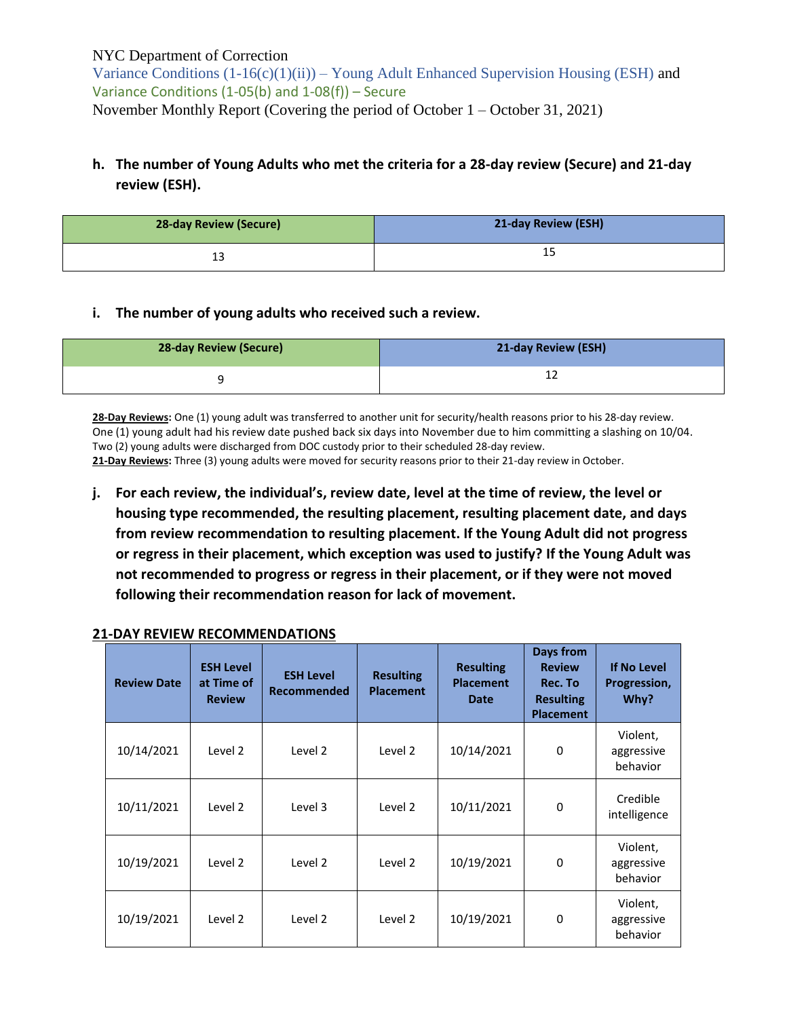Variance Conditions  $(1-16(c)(1)(ii))$  – Young Adult Enhanced Supervision Housing (ESH) and Variance Conditions (1-05(b) and 1-08(f)) – Secure November Monthly Report (Covering the period of October 1 – October 31, 2021)

## **h. The number of Young Adults who met the criteria for a 28-day review (Secure) and 21-day review (ESH).**

| <b>28-day Review (Secure)</b> | 21-day Review (ESH) |
|-------------------------------|---------------------|
| --                            | --                  |

#### **i. The number of young adults who received such a review.**

| 28-day Review (Secure) | 21-day Review (ESH) |
|------------------------|---------------------|
|                        |                     |

**28-Day Reviews:** One (1) young adult was transferred to another unit for security/health reasons prior to his 28-day review. One (1) young adult had his review date pushed back six days into November due to him committing a slashing on 10/04. Two (2) young adults were discharged from DOC custody prior to their scheduled 28-day review.

**21-Day Reviews:** Three (3) young adults were moved for security reasons prior to their 21-day review in October.

**j. For each review, the individual's, review date, level at the time of review, the level or housing type recommended, the resulting placement, resulting placement date, and days from review recommendation to resulting placement. If the Young Adult did not progress or regress in their placement, which exception was used to justify? If the Young Adult was not recommended to progress or regress in their placement, or if they were not moved following their recommendation reason for lack of movement.**

| <b>Review Date</b> | <b>ESH Level</b><br>at Time of<br><b>Review</b> | <b>ESH Level</b><br><b>Recommended</b> | <b>Resulting</b><br><b>Placement</b> | <b>Resulting</b><br><b>Placement</b><br><b>Date</b> | Days from<br><b>Review</b><br>Rec. To<br><b>Resulting</b><br><b>Placement</b> | <b>If No Level</b><br>Progression,<br>Why? |
|--------------------|-------------------------------------------------|----------------------------------------|--------------------------------------|-----------------------------------------------------|-------------------------------------------------------------------------------|--------------------------------------------|
| 10/14/2021         | Level 2                                         | Level 2                                | Level 2                              | 10/14/2021                                          | $\Omega$                                                                      | Violent,<br>aggressive<br>behavior         |
| 10/11/2021         | Level 2                                         | Level 3                                | Level 2                              | 10/11/2021                                          | $\Omega$                                                                      | Credible<br>intelligence                   |
| 10/19/2021         | Level 2                                         | Level 2                                | Level 2                              | 10/19/2021                                          | $\Omega$                                                                      | Violent,<br>aggressive<br>behavior         |
| 10/19/2021         | Level 2                                         | Level 2                                | Level 2                              | 10/19/2021                                          | 0                                                                             | Violent,<br>aggressive<br>behavior         |

#### **21-DAY REVIEW RECOMMENDATIONS**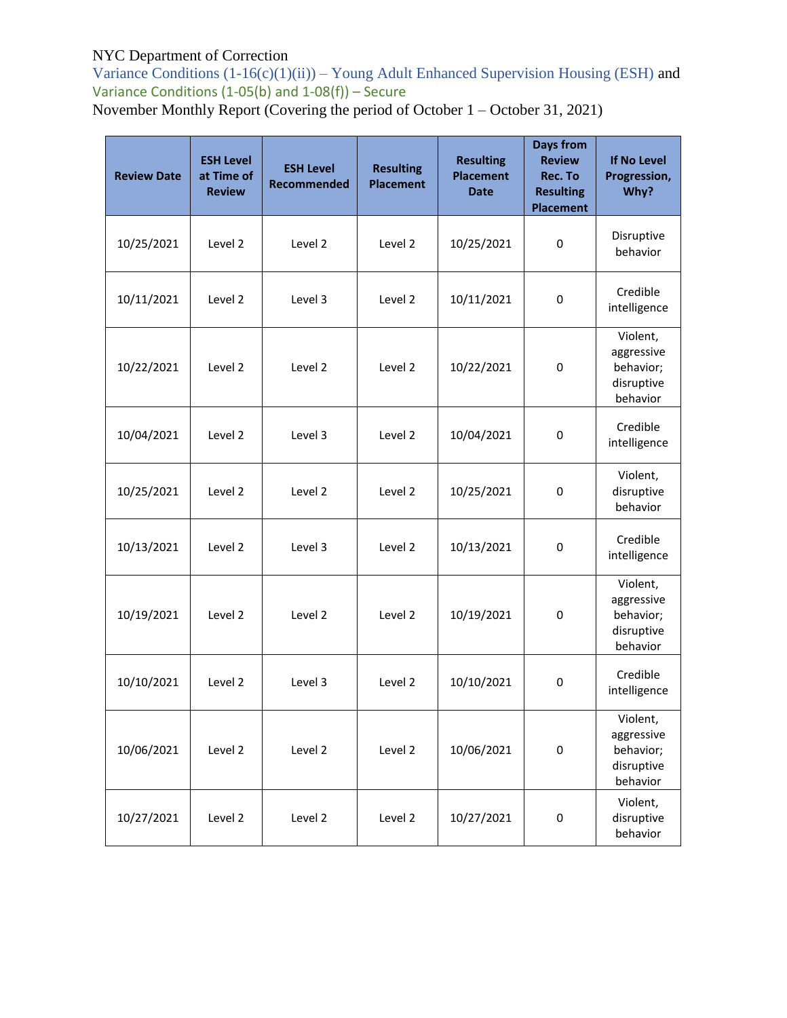Variance Conditions  $(1-16(c)(1)(ii))$  – Young Adult Enhanced Supervision Housing (ESH) and Variance Conditions  $(1-05(b)$  and  $1-08(f))$  – Secure

November Monthly Report (Covering the period of October 1 – October 31, 2021)

| <b>Review Date</b> | <b>ESH Level</b><br>at Time of<br><b>Review</b> | <b>ESH Level</b><br><b>Recommended</b> | <b>Resulting</b><br><b>Placement</b> | <b>Resulting</b><br><b>Placement</b><br><b>Date</b> | <b>Days from</b><br><b>Review</b><br>Rec. To<br><b>Resulting</b><br><b>Placement</b> | <b>If No Level</b><br>Progression,<br>Why?                    |
|--------------------|-------------------------------------------------|----------------------------------------|--------------------------------------|-----------------------------------------------------|--------------------------------------------------------------------------------------|---------------------------------------------------------------|
| 10/25/2021         | Level 2                                         | Level 2                                | Level 2                              | 10/25/2021                                          | 0                                                                                    | Disruptive<br>behavior                                        |
| 10/11/2021         | Level 2                                         | Level 3                                | Level 2                              | 10/11/2021                                          | $\mathbf 0$                                                                          | Credible<br>intelligence                                      |
| 10/22/2021         | Level 2                                         | Level 2                                | Level 2                              | 10/22/2021                                          | 0                                                                                    | Violent,<br>aggressive<br>behavior;<br>disruptive<br>behavior |
| 10/04/2021         | Level 2                                         | Level 3                                | Level 2                              | 10/04/2021                                          | $\mathbf 0$                                                                          | Credible<br>intelligence                                      |
| 10/25/2021         | Level 2                                         | Level 2                                | Level 2                              | 10/25/2021                                          | 0                                                                                    | Violent,<br>disruptive<br>behavior                            |
| 10/13/2021         | Level 2                                         | Level 3                                | Level 2                              | 10/13/2021                                          | $\mathbf 0$                                                                          | Credible<br>intelligence                                      |
| 10/19/2021         | Level 2                                         | Level 2                                | Level 2                              | 10/19/2021                                          | $\mathbf 0$                                                                          | Violent,<br>aggressive<br>behavior;<br>disruptive<br>behavior |
| 10/10/2021         | Level 2                                         | Level 3                                | Level 2                              | 10/10/2021                                          | 0                                                                                    | Credible<br>intelligence                                      |
| 10/06/2021         | Level 2                                         | Level 2                                | Level 2                              | 10/06/2021                                          | $\mathsf 0$                                                                          | Violent,<br>aggressive<br>behavior;<br>disruptive<br>behavior |
| 10/27/2021         | Level 2                                         | Level 2                                | Level 2                              | 10/27/2021                                          | $\pmb{0}$                                                                            | Violent,<br>disruptive<br>behavior                            |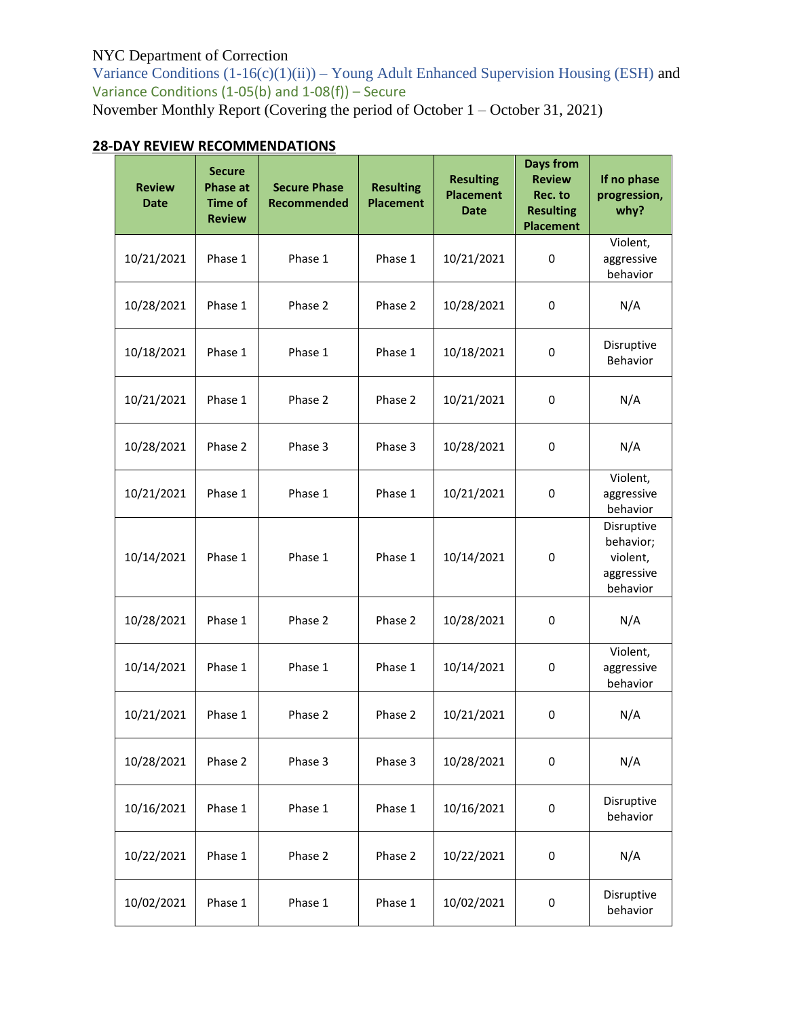Variance Conditions  $(1-16(c)(1)(ii))$  – Young Adult Enhanced Supervision Housing (ESH) and Variance Conditions  $(1-05(b)$  and  $1-08(f))$  – Secure November Monthly Report (Covering the period of October 1 – October 31, 2021)

# **28-DAY REVIEW RECOMMENDATIONS**

| <b>Review</b><br><b>Date</b> | <b>Secure</b><br><b>Phase at</b><br><b>Time of</b><br><b>Review</b> | <b>Secure Phase</b><br>Recommended | <b>Resulting</b><br><b>Placement</b> | <b>Resulting</b><br><b>Placement</b><br><b>Date</b> | <b>Days from</b><br><b>Review</b><br>Rec. to<br><b>Resulting</b><br><b>Placement</b> | If no phase<br>progression,<br>why?                           |
|------------------------------|---------------------------------------------------------------------|------------------------------------|--------------------------------------|-----------------------------------------------------|--------------------------------------------------------------------------------------|---------------------------------------------------------------|
| 10/21/2021                   | Phase 1                                                             | Phase 1                            | Phase 1                              | 10/21/2021                                          | 0                                                                                    | Violent,<br>aggressive<br>behavior                            |
| 10/28/2021                   | Phase 1                                                             | Phase 2                            | Phase 2                              | 10/28/2021                                          | 0                                                                                    | N/A                                                           |
| 10/18/2021                   | Phase 1                                                             | Phase 1                            | Phase 1                              | 10/18/2021                                          | 0                                                                                    | Disruptive<br>Behavior                                        |
| 10/21/2021                   | Phase 1                                                             | Phase 2                            | Phase 2                              | 10/21/2021                                          | 0                                                                                    | N/A                                                           |
| 10/28/2021                   | Phase 2                                                             | Phase 3                            | Phase 3                              | 10/28/2021                                          | 0                                                                                    | N/A                                                           |
| 10/21/2021                   | Phase 1                                                             | Phase 1                            | Phase 1                              | 10/21/2021                                          | 0                                                                                    | Violent,<br>aggressive<br>behavior                            |
| 10/14/2021                   | Phase 1                                                             | Phase 1                            | Phase 1                              | 10/14/2021                                          | $\mathbf 0$                                                                          | Disruptive<br>behavior;<br>violent,<br>aggressive<br>behavior |
| 10/28/2021                   | Phase 1                                                             | Phase 2                            | Phase 2                              | 10/28/2021                                          | $\mathbf 0$                                                                          | N/A                                                           |
| 10/14/2021                   | Phase 1                                                             | Phase 1                            | Phase 1                              | 10/14/2021                                          | 0                                                                                    | Violent,<br>aggressive<br>behavior                            |
| 10/21/2021                   | Phase 1                                                             | Phase 2                            | Phase 2                              | 10/21/2021                                          | 0                                                                                    | N/A                                                           |
| 10/28/2021                   | Phase 2                                                             | Phase 3                            | Phase 3                              | 10/28/2021                                          | 0                                                                                    | N/A                                                           |
| 10/16/2021                   | Phase 1                                                             | Phase 1                            | Phase 1                              | 10/16/2021                                          | 0                                                                                    | Disruptive<br>behavior                                        |
| 10/22/2021                   | Phase 1                                                             | Phase 2                            | Phase 2                              | 10/22/2021                                          | 0                                                                                    | N/A                                                           |
| 10/02/2021                   | Phase 1                                                             | Phase 1                            | Phase 1                              | 10/02/2021                                          | 0                                                                                    | Disruptive<br>behavior                                        |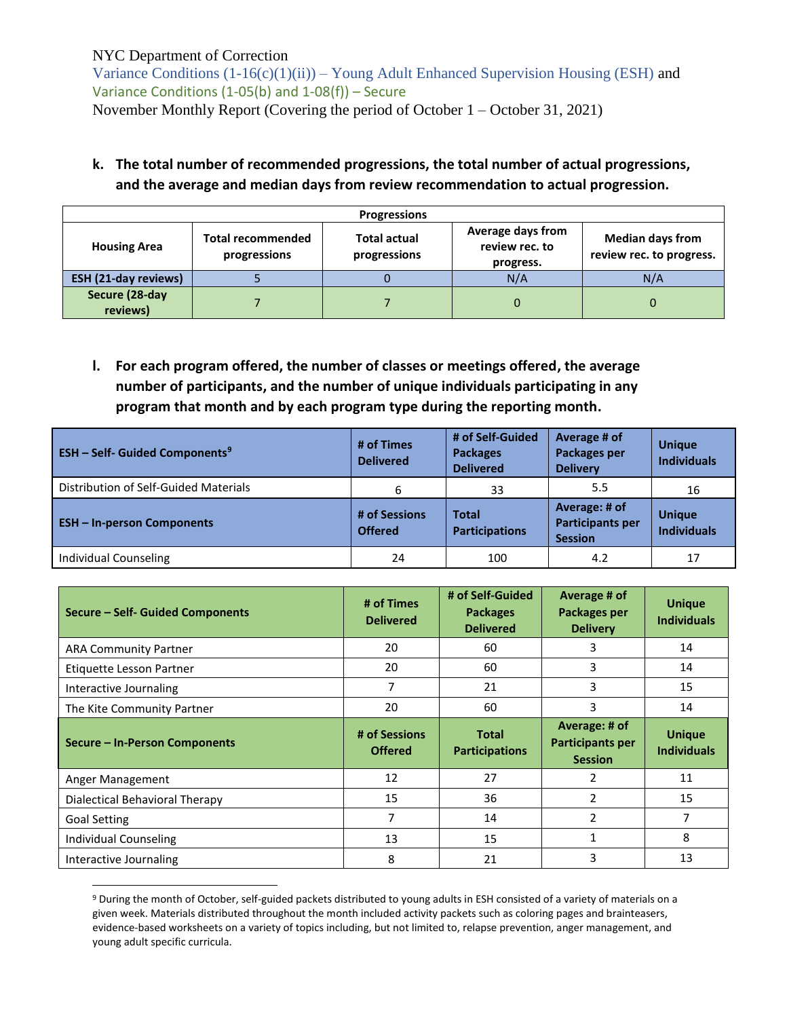$\overline{a}$ 

Variance Conditions  $(1-16(c)(1)(ii))$  – Young Adult Enhanced Supervision Housing (ESH) and Variance Conditions (1-05(b) and 1-08(f)) – Secure November Monthly Report (Covering the period of October 1 – October 31, 2021)

## **k. The total number of recommended progressions, the total number of actual progressions, and the average and median days from review recommendation to actual progression.**

| <b>Progressions</b>         |                                          |                                     |                                                  |                                                     |  |  |
|-----------------------------|------------------------------------------|-------------------------------------|--------------------------------------------------|-----------------------------------------------------|--|--|
| <b>Housing Area</b>         | <b>Total recommended</b><br>progressions | <b>Total actual</b><br>progressions | Average days from<br>review rec. to<br>progress. | <b>Median days from</b><br>review rec. to progress. |  |  |
| <b>ESH (21-day reviews)</b> |                                          |                                     | N/A                                              | N/A                                                 |  |  |
| Secure (28-day<br>reviews)  |                                          |                                     | 0                                                |                                                     |  |  |

**l. For each program offered, the number of classes or meetings offered, the average number of participants, and the number of unique individuals participating in any program that month and by each program type during the reporting month.**

| <b>ESH - Self- Guided Components<sup>9</sup></b> | # of Times<br><b>Delivered</b>  | # of Self-Guided<br><b>Packages</b><br><b>Delivered</b> | Average # of<br><b>Packages per</b><br><b>Delivery</b>     | <b>Unique</b><br><b>Individuals</b> |
|--------------------------------------------------|---------------------------------|---------------------------------------------------------|------------------------------------------------------------|-------------------------------------|
| Distribution of Self-Guided Materials            | 6                               | 33                                                      | 5.5                                                        | 16                                  |
| <b>ESH-In-person Components</b>                  | # of Sessions<br><b>Offered</b> | <b>Total</b><br><b>Participations</b>                   | Average: # of<br><b>Participants per</b><br><b>Session</b> | <b>Unique</b><br><b>Individuals</b> |
| Individual Counseling                            | 24                              | 100                                                     | 4.2                                                        | 17                                  |

| Secure - Self- Guided Components | # of Times<br><b>Delivered</b> | # of Self-Guided<br><b>Packages</b><br><b>Delivered</b> | Average # of<br><b>Packages per</b><br><b>Delivery</b> | <b>Unique</b><br><b>Individuals</b> |
|----------------------------------|--------------------------------|---------------------------------------------------------|--------------------------------------------------------|-------------------------------------|
| <b>ARA Community Partner</b>     | 20                             | 60                                                      | 3                                                      | 14                                  |
| Etiquette Lesson Partner         | 20                             | 60                                                      | 3                                                      | 14                                  |
| Interactive Journaling           | 7                              | 21                                                      | 3                                                      | 15                                  |
| The Kite Community Partner       | 20                             | 60                                                      | 3                                                      | 14                                  |
|                                  | # of Sessions                  | <b>Total</b>                                            | Average: # of                                          | <b>Unique</b>                       |
| Secure - In-Person Components    | <b>Offered</b>                 | <b>Participations</b>                                   | <b>Participants per</b><br><b>Session</b>              | <b>Individuals</b>                  |
| Anger Management                 | 12                             | 27                                                      | 2                                                      | 11                                  |
| Dialectical Behavioral Therapy   | 15                             | 36                                                      | 2                                                      | 15                                  |
| <b>Goal Setting</b>              | 7                              | 14                                                      | 2                                                      | 7                                   |
| Individual Counseling            | 13                             | 15                                                      | $\mathbf{1}$                                           | 8                                   |

<sup>9</sup> During the month of October, self-guided packets distributed to young adults in ESH consisted of a variety of materials on a given week. Materials distributed throughout the month included activity packets such as coloring pages and brainteasers, evidence-based worksheets on a variety of topics including, but not limited to, relapse prevention, anger management, and young adult specific curricula.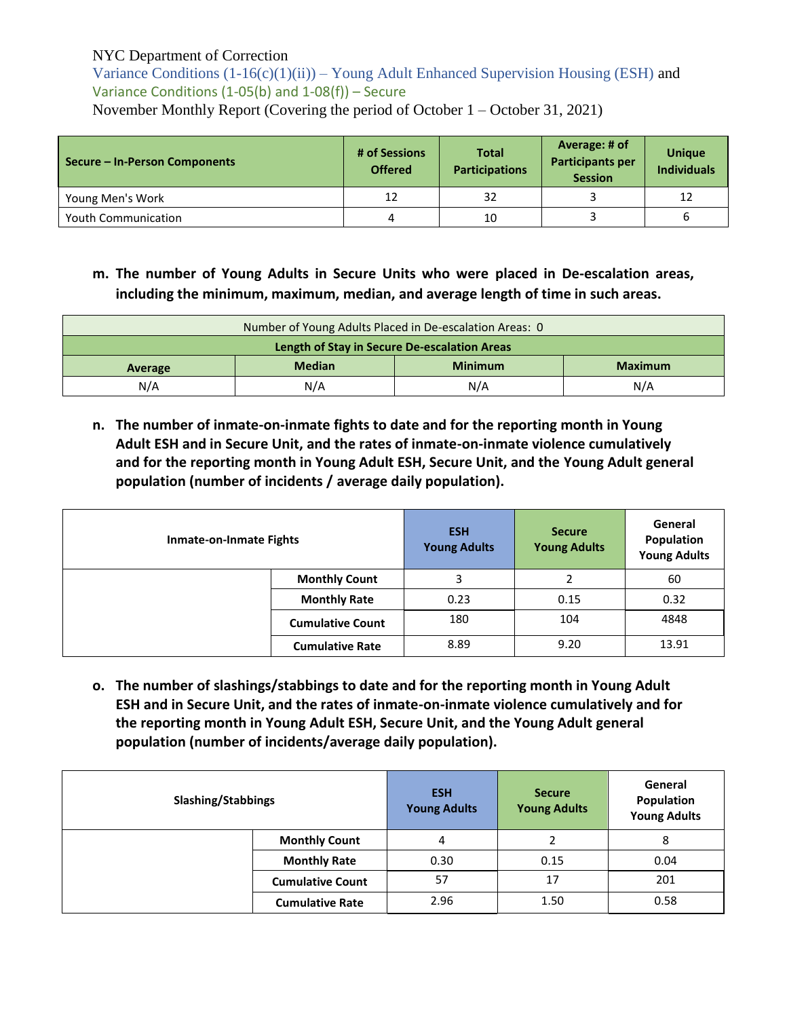Variance Conditions  $(1-16(c)(1)(ii))$  – Young Adult Enhanced Supervision Housing (ESH) and Variance Conditions (1-05(b) and 1-08(f)) – Secure November Monthly Report (Covering the period of October 1 – October 31, 2021)

| Secure – In-Person Components | # of Sessions<br><b>Offered</b> | <b>Total</b><br><b>Participations</b> | Average: # of<br><b>Participants per</b><br><b>Session</b> | <b>Unique</b><br><b>Individuals</b> |  |
|-------------------------------|---------------------------------|---------------------------------------|------------------------------------------------------------|-------------------------------------|--|
| Young Men's Work              | 12                              | 32                                    |                                                            |                                     |  |
| <b>Youth Communication</b>    | 4                               | 10                                    |                                                            |                                     |  |

**m. The number of Young Adults in Secure Units who were placed in De-escalation areas, including the minimum, maximum, median, and average length of time in such areas.**

| Number of Young Adults Placed in De-escalation Areas: 0      |  |  |  |  |
|--------------------------------------------------------------|--|--|--|--|
| Length of Stay in Secure De-escalation Areas                 |  |  |  |  |
| <b>Median</b><br><b>Minimum</b><br><b>Maximum</b><br>Average |  |  |  |  |
| N/A<br>N/A<br>N/A<br>N/A                                     |  |  |  |  |

**n. The number of inmate-on-inmate fights to date and for the reporting month in Young Adult ESH and in Secure Unit, and the rates of inmate-on-inmate violence cumulatively and for the reporting month in Young Adult ESH, Secure Unit, and the Young Adult general population (number of incidents / average daily population).**

| <b>Inmate-on-Inmate Fights</b> |                         | <b>ESH</b><br><b>Young Adults</b> | <b>Secure</b><br><b>Young Adults</b> | General<br>Population<br><b>Young Adults</b> |
|--------------------------------|-------------------------|-----------------------------------|--------------------------------------|----------------------------------------------|
|                                | <b>Monthly Count</b>    | 3                                 | ำ                                    | 60                                           |
|                                | <b>Monthly Rate</b>     | 0.23                              | 0.15                                 | 0.32                                         |
|                                | <b>Cumulative Count</b> | 180                               | 104                                  | 4848                                         |
|                                | <b>Cumulative Rate</b>  | 8.89                              | 9.20                                 | 13.91                                        |

**o. The number of slashings/stabbings to date and for the reporting month in Young Adult ESH and in Secure Unit, and the rates of inmate-on-inmate violence cumulatively and for the reporting month in Young Adult ESH, Secure Unit, and the Young Adult general population (number of incidents/average daily population).**

| <b>Slashing/Stabbings</b> |                         | <b>ESH</b><br><b>Young Adults</b> | <b>Secure</b><br><b>Young Adults</b> | General<br>Population<br><b>Young Adults</b> |
|---------------------------|-------------------------|-----------------------------------|--------------------------------------|----------------------------------------------|
|                           | <b>Monthly Count</b>    | 4                                 |                                      | 8                                            |
|                           | <b>Monthly Rate</b>     | 0.30                              | 0.15                                 | 0.04                                         |
|                           | <b>Cumulative Count</b> | 57                                | 17                                   | 201                                          |
|                           | <b>Cumulative Rate</b>  | 2.96                              | 1.50                                 | 0.58                                         |